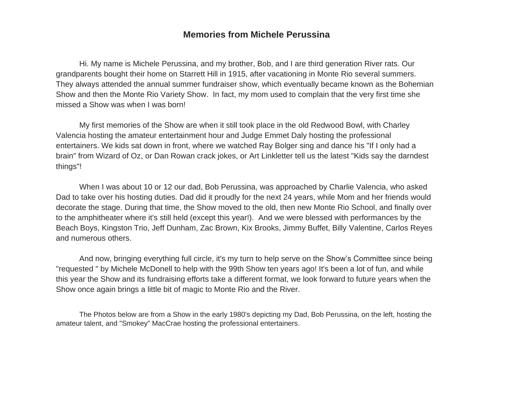## **Memories from Michele Perussina**

Hi. My name is Michele Perussina, and my brother, Bob, and I are third generation River rats. Our grandparents bought their home on Starrett Hill in 1915, after vacationing in Monte Rio several summers. They always attended the annual summer fundraiser show, which eventually became known as the Bohemian Show and then the Monte Rio Variety Show. In fact, my mom used to complain that the very first time she missed a Show was when I was born!

My first memories of the Show are when it still took place in the old Redwood Bowl, with Charley Valencia hosting the amateur entertainment hour and Judge Emmet Daly hosting the professional entertainers. We kids sat down in front, where we watched Ray Bolger sing and dance his "If I only had a brain" from Wizard of Oz, or Dan Rowan crack jokes, or Art Linkletter tell us the latest "Kids say the darndest things"!

When I was about 10 or 12 our dad, Bob Perussina, was approached by Charlie Valencia, who asked Dad to take over his hosting duties. Dad did it proudly for the next 24 years, while Mom and her friends would decorate the stage. During that time, the Show moved to the old, then new Monte Rio School, and finally over to the amphitheater where it's still held (except this year!). And we were blessed with performances by the Beach Boys, Kingston Trio, Jeff Dunham, Zac Brown, Kix Brooks, Jimmy Buffet, Billy Valentine, Carlos Reyes and numerous others.

And now, bringing everything full circle, it's my turn to help serve on the Show's Committee since being "requested " by Michele McDonell to help with the 99th Show ten years ago! It's been a lot of fun, and while this year the Show and its fundraising efforts take a different format, we look forward to future years when the Show once again brings a little bit of magic to Monte Rio and the River.

The Photos below are from a Show in the early 1980's depicting my Dad, Bob Perussina, on the left, hosting the amateur talent, and "Smokey" MacCrae hosting the professional entertainers.